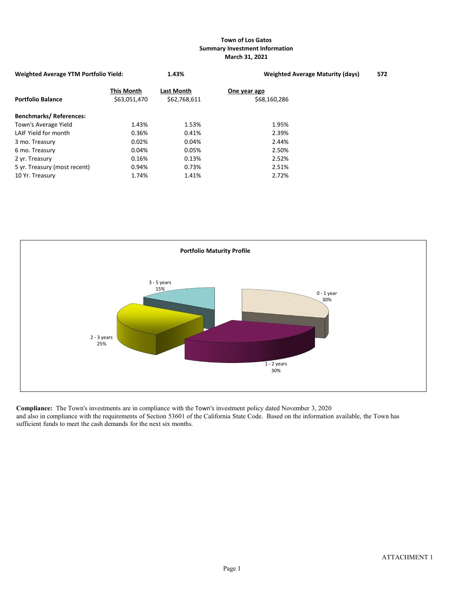## **Town of Los Gatos Summary Investment Information March 31, 2021**

| <b>Weighted Average YTM Portfolio Yield:</b> |                                   | 1.43%                             | <b>Weighted Average Maturity (days)</b> | 572 |
|----------------------------------------------|-----------------------------------|-----------------------------------|-----------------------------------------|-----|
| <b>Portfolio Balance</b>                     | <b>This Month</b><br>\$63,051,470 | <b>Last Month</b><br>\$62,768,611 | One year ago<br>\$68,160,286            |     |
| <b>Benchmarks/References:</b>                |                                   |                                   |                                         |     |
| Town's Average Yield                         | 1.43%                             | 1.53%                             | 1.95%                                   |     |
| LAIF Yield for month                         | 0.36%                             | 0.41%                             | 2.39%                                   |     |
| 3 mo. Treasury                               | 0.02%                             | 0.04%                             | 2.44%                                   |     |
| 6 mo. Treasury                               | 0.04%                             | 0.05%                             | 2.50%                                   |     |
| 2 yr. Treasury                               | 0.16%                             | 0.13%                             | 2.52%                                   |     |
| 5 yr. Treasury (most recent)                 | 0.94%                             | 0.73%                             | 2.51%                                   |     |
| 10 Yr. Treasury                              | 1.74%                             | 1.41%                             | 2.72%                                   |     |



**Compliance:** The Town's investments are in compliance with the Town's investment policy dated November 3, 2020 and also in compliance with the requirements of Section 53601 of the California State Code. Based on the information available, the Town has sufficient funds to meet the cash demands for the next six months.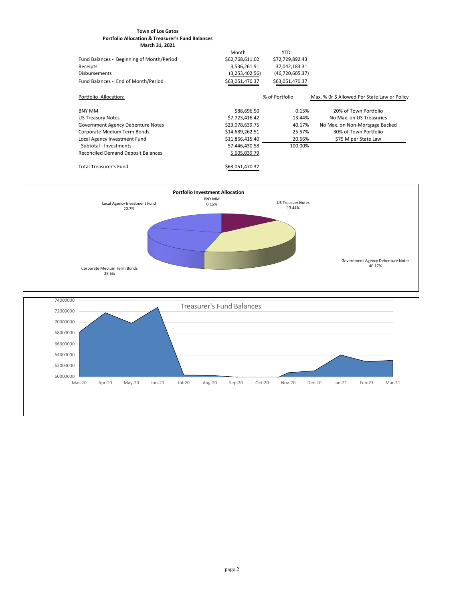## **Town of Los Gatos Portfolio Allocation & Treasurer's Fund Balances March 31, 2021**

|                                           | Month           | YTD               |                                              |
|-------------------------------------------|-----------------|-------------------|----------------------------------------------|
| Fund Balances - Beginning of Month/Period | \$62,768,611.02 | \$72,729,892.43   |                                              |
| Receipts                                  | 3,536,261.91    | 37,042,183.31     |                                              |
| <b>Disbursements</b>                      | (3,253,402.56)  | (46, 720, 605.37) |                                              |
| Fund Balances - End of Month/Period       | \$63,051,470.37 | \$63,051,470.37   |                                              |
| Portfolio Allocation:                     |                 | % of Portfolio    | Max. % Or \$ Allowed Per State Law or Policy |
| BNY MM                                    | \$88,696.50     | 0.15%             | 20% of Town Portfolio                        |
| US Treasury Notes                         | \$7,723,416.42  | 13.44%            | No Max, on US Treasuries                     |
| Government Agency Debenture Notes         | \$23,078,639.75 | 40.17%            | No Max. on Non-Mortgage Backed               |
| Corporate Medium Term Bonds               | \$14,689,262.51 | 25.57%            | 30% of Town Portfolio                        |
| Local Agency Investment Fund              | \$11,866,415.40 | 20.66%            | \$75 M per State Law                         |
| Subtotal - Investments                    | 57,446,430.58   | 100.00%           |                                              |
| <b>Reconciled Demand Deposit Balances</b> | 5,605,039.79    |                   |                                              |
| <b>Total Treasurer's Fund</b>             | \$63,051,470.37 |                   |                                              |



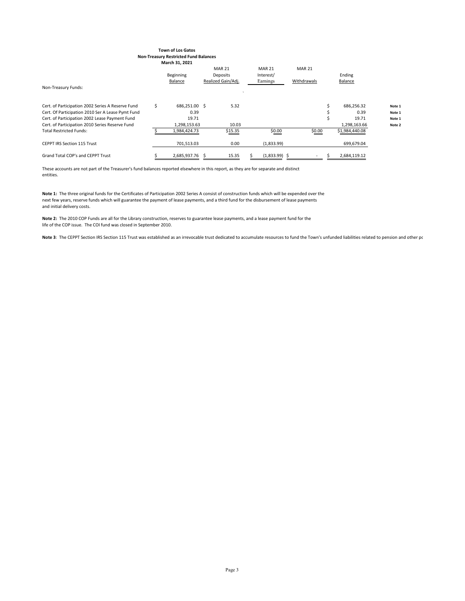#### **Town of Los Gatos Non-Treasury Restricted Fund Balances March 31, 2021**

| Non-Treasury Funds:                                                                                    | <b>Beginning</b><br><b>Balance</b> | <b>MAR 21</b><br>Deposits<br>Realized Gain/Adj. | <b>MAR 21</b><br>Interest/<br>Earnings | <b>MAR 21</b><br>Withdrawals | Ending<br>Balance     |                  |
|--------------------------------------------------------------------------------------------------------|------------------------------------|-------------------------------------------------|----------------------------------------|------------------------------|-----------------------|------------------|
| Cert. of Participation 2002 Series A Reserve Fund<br>Cert. Of Participation 2010 Ser A Lease Pymt Fund | 686,251.00 \$<br>0.39              | 5.32                                            |                                        |                              | 686,256.32<br>0.39    | Note 1<br>Note 1 |
| Cert. of Participation 2002 Lease Payment Fund<br>Cert. of Participation 2010 Series Reserve Fund      | 19.71<br>1,298,153.63              | 10.03                                           |                                        |                              | 19.71<br>1,298,163.66 | Note 1           |
| <b>Total Restricted Funds:</b>                                                                         | 1,984,424.73                       | \$15.35                                         | \$0.00                                 | \$0.00                       | \$1,984,440.08        | Note 2           |
| <b>CEPPT IRS Section 115 Trust</b>                                                                     | 701,513.03                         | 0.00                                            | (1,833.99)                             |                              | 699,679.04            |                  |
| <b>Grand Total COP's and CEPPT Trust</b>                                                               | 2,685,937.76                       | 15.35                                           | $(1,833.99)$ \$                        |                              | 2,684,119.12          |                  |

These accounts are not part of the Treasurer's fund balances reported elsewhere in this report, as they are for separate and distinct entities.

**Note 1:** The three original funds for the Certificates of Participation 2002 Series A consist of construction funds which will be expended over the next few years, reserve funds which will guarantee the payment of lease payments, and a third fund for the disbursement of lease payments and initial delivery costs.

**Note 2:** The 2010 COP Funds are all for the Library construction, reserves to guarantee lease payments, and a lease payment fund for the life of the COP issue. The COI fund was closed in September 2010.

Note 3: The CEPPT Section IRS Section 115 Trust was established as an irrevocable trust dedicated to accumulate resources to fund the Town's unfunded liabilities related to pension and other pc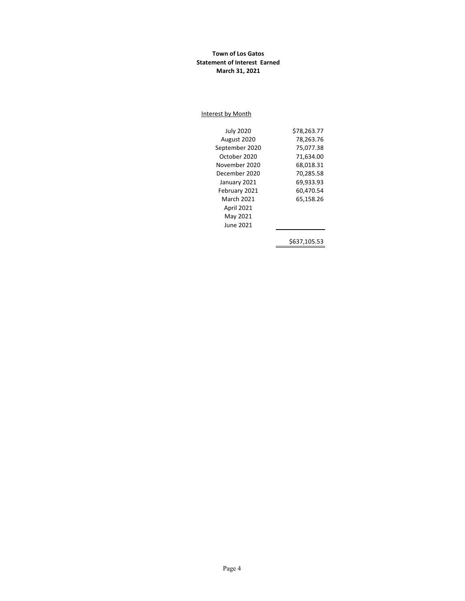## **Town of Los Gatos Statement of Interest Earned March 31, 2021**

#### Interest by Month

| <b>July 2020</b>  | \$78,263.77  |
|-------------------|--------------|
| August 2020       | 78,263.76    |
| September 2020    | 75,077.38    |
| October 2020      | 71,634.00    |
| November 2020     | 68,018.31    |
| December 2020     | 70,285.58    |
| January 2021      | 69,933.93    |
| February 2021     | 60,470.54    |
| March 2021        | 65.158.26    |
| <b>April 2021</b> |              |
| May 2021          |              |
| June 2021         |              |
|                   |              |
|                   | \$637,105.53 |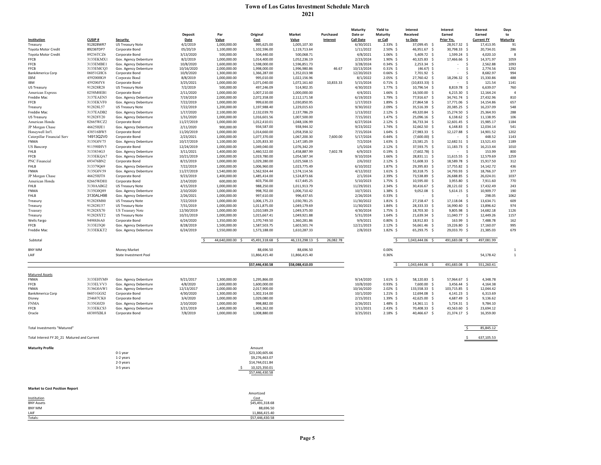# **Town of Los Gatos Investment Schedule March 2021**

|                                             |                            |                                                |                        |                              |                                  |                              |           | <b>Maturity</b>        | <b>Yield to</b>            | <b>Interest</b>              | Interest                       | <b>Interest</b>        | Days            |
|---------------------------------------------|----------------------------|------------------------------------------------|------------------------|------------------------------|----------------------------------|------------------------------|-----------|------------------------|----------------------------|------------------------------|--------------------------------|------------------------|-----------------|
|                                             |                            |                                                | <b>Deposit</b>         | Par                          | Original                         | <b>Market</b>                | Purchased | Date or                | <b>Maturity</b>            | <b>Received</b>              | Earned                         | Earned                 | to              |
| Institution                                 | <b>CUSIP#</b><br>912828WR7 | <b>Security</b>                                | <b>Date</b>            | Value                        | Cost                             | <b>Value</b>                 | Interest  | <b>Call Date</b>       | or Call                    | to Date<br>37,099.45 \$      | Prior Yrs.                     | <b>Current FY</b>      | <b>Maturity</b> |
| Treasury<br>Toyota Motor Credit             | 89236TDP7                  | <b>US Treasury Note</b><br>Corporate Bond      | 4/2/2019<br>05/20/19   | 1,000,000.00<br>1,100,000.00 | 995,625.00<br>1,102,596.00       | 1,005,107.30<br>1,119,713.64 |           | 6/30/2021<br>1/11/2022 | $2.33\%$ \$<br>$2.50\%$ \$ | 46,951.67 \$                 | 28,917.32 \$<br>30,798.33 \$   | 17,413.95<br>20,734.01 | 91<br>286       |
| Toyota Motor Credit                         | 89236TCZ6                  | Corporate Bond                                 | 3/13/2020              | 500,000.00                   | 504,440.00                       | 500,068.71                   |           | 4/8/2021               | $1.06\%$ \$                | 5,409.72 \$                  | $1,599.24$ \$                  | 4,020.10               | 8               |
| <b>FFCB</b>                                 | 3133EKMX1                  | Gov. Agency Debenture                          | 8/2/2019               | 1,000,000.00                 | 1,014,400.00                     | 1,052,236.19                 |           | 2/23/2024              | $1.90\%$ \$                | 40,325.83 \$                 | 17,466.66 \$                   | 14,371.97              | 1059            |
| <b>FFCB</b>                                 | 3133EMBE                   | Gov. Agency Debenture                          | 10/8/2020              | 1,600,000.00                 | 1,598,000.00                     | 1,596,851.73                 |           | 3/28/2024              | $0.34\%$ \$                | $2,253.34$ \$                | -S                             | 2,562.88               | 1093            |
| <b>FFCB</b>                                 | 3133EMCQ3                  | Gov. Agency Debenture                          | 10/16/2020             | 2,000,000.00                 | 1,998,000.00                     | 1,996,980.86                 | 46.67     | 10/13/2024             | $0.31\%$ \$                | $(46.67)$ \$                 |                                | 2,774.56               | 1292            |
| BankAmerica Corp                            | 06051GHC6                  | Corporate Bond                                 | 10/9/2020              | 1,300,000.00                 | 1,366,287.00                     | 1,352,013.98                 |           | 12/20/2023             | $0.66\%$ \$                | 7,701.92 \$                  |                                | 8,682.97               | 994             |
| <b>IBM</b>                                  | 459200HG9                  | Corporate Bond                                 | 8/8/2019               | 1,000,000.00                 | 995,010.00                       | 1,022,156.96                 |           | 8/1/2022               | $2.05\%$ \$                | 27,760.42 \$                 | 18,296.32 \$                   | 15,330.86              | 488             |
| <b>IBM</b>                                  | 459200JY8                  | Corporate Bond                                 | 3/25/2021              | 1,000,000.00                 | 1,071,040.00                     | 1,072,161.60                 | 10,833.33 | 5/15/2024              | $0.71\%$ \$                | $(10,833.33)$ \$             | -S                             | 121.54                 | 1141            |
| <b>US Treasury</b>                          | 912828R28                  | <b>US Treasury Note</b>                        | 7/2/2019               | 500,000.00                   | 497,246.09                       | 514,902.35                   |           | 4/30/2023              | 1.77% \$                   | 10,796.54 \$                 | 8,819.78 \$                    | 6,639.07               | 760             |
| American Express                            | 0258M0EB1                  | Corporate Bond                                 | 2/11/2020              | 1,000,000.00                 | 1,007,210.00                     | 1,000,000.00                 |           | 4/4/2021               | $1.66\%$ \$                | 16,500.00 \$                 | $6,215.30$ \$                  | 12,164.24              | $\overline{4}$  |
| Freddie Mac<br><b>FFCB</b>                  | 3137EAEN5<br>3133EKVF0     | Gov. Agency Debenture<br>Gov. Agency Debenture | 7/19/2019<br>7/22/2019 | 2,000,000.00<br>1,000,000.00 | 2,072,358.00<br>999,630.00       | 2,112,171.58<br>1,030,850.95 |           | 6/19/2023<br>1/17/2023 | 1.79%\$<br>1.89%\$         | 77,916.67 \$<br>27,864.58 \$ | 34,741.74 \$<br>17,771.06 \$   | 27,432.96<br>14,154.86 | 810<br>657      |
| Treasury                                    | 912828L57                  | <b>US Treasury Note</b>                        | 7/22/2019              | 1,200,000.00                 | 1,197,988.40                     | 1,229,015.63                 |           | 9/30/2022              | 2.09%\$                    | 35,516.39 \$                 | 20,385.25 \$                   | 16,237.09              | 548             |
| Freddie Mac                                 | 3137EADB2                  | Gov. Agency Debenture                          | 1/17/2020              | 2,100,000.00                 | 2,132,039.70                     | 2,137,786.29                 |           | 1/13/2022              | $2.12\%$ \$                | 49,320.84 \$                 | 15,274.50 \$                   | 25,364.93              | 288             |
| <b>US Treasury</b>                          | 912828Y20                  | Gov. Agency Debenture                          | 1/31/2020              | 1,000,000.00                 | 1,016,601.56                     | 1,007,500.00                 |           | 7/15/2021              | 1.47% \$                   | 25,096.16 \$                 | $6,138.62$ \$                  | 11,138.95              | 106             |
| American Honda                              | 02665WCZ2                  | Corporate Bond                                 | 11/27/2019             | 1,000,000.00                 | 1,012,410.01                     | 1,048,106.99                 |           | 6/27/2024              | $2.12\%$ \$                | 36,733.34 \$                 | 12,601.45 \$                   | 15,985.17              | 1184            |
| JP Morgan Chase                             | 46625HJE1                  | Gov. Agency Debenture                          | 2/11/2020              | 900,000.00                   | 934,587.00                       | 938,944.32                   |           | 9/23/2022              | $1.74\%$ \$                | 32,662.50 \$                 | $6,148.83$ \$                  | 12,034.14              | 541             |
| Honeywell Int'l.                            | 438516BW5                  | Corporate Bond                                 | 11/20/2019             | 1,000,000.00                 | 1,014,660.00                     | 1,058,358.32                 |           | 7/15/2024              | $1.64\%$ \$                | 27,983.33 \$                 | 12,127.88 \$                   | 14,901.52              | 1202            |
| Caterpillar Financial Serv                  | 14913Q2V0                  | Corporate Bond                                 | 2/23/2021              | 1,000,000.00                 | 1,077,370.00                     | 1,067,200.30                 | 7,600.00  | 5/17/2024              | $0.44\%$ \$                | $(7,600.00)$ \$              | -S<br>$\overline{\phantom{0}}$ | 448.52                 | 1143            |
| FNMA                                        | 3135G0V75                  | Gov. Agency Debenture                          | 10/17/2019             | 1,100,000.00                 | 1,105,833.30                     | 1,147,185.09                 |           | 7/2/2024               | $1.63\%$ \$                | 23,581.25 \$                 | 12,682.51 \$                   | 13,521.43              | 1189            |
| <b>US</b> Bancorp                           | 91159HHV5                  | Corporate Bond                                 | 12/24/2019             | 1,000,000.00                 | 1,049,040.00                     | 1,076,342.29                 |           | 1/5/2024               | $2.12\%$ \$                | 37,593.75 \$                 | 11,183.73 \$                   | 16,213.44              | 1010            |
| <b>FHLB</b>                                 | 3133834G3                  | Gov. Agency Debenture                          | 3/11/2021              | 1,400,000.00                 | 1,460,522.00                     | 1,458,887.99                 | 7,602.78  | 6/9/2023               | $0.19%$ \$                 | $(7,602.78)$ \$              | -S                             | 153.99                 | 800             |
| <b>FFCB</b>                                 | 3133EKQA7                  | Gov. Agency Debenture                          | 10/21/2019             | 1,000,000.00                 | 1,019,780.00                     | 1,054,587.34                 |           | 9/10/2024              | $1.66\%$ \$                | 28,831.11 \$                 | $11,615.55$ \$                 | 12,579.69              | 1259            |
| PNC Financial                               | 693476BN2                  | Corporate Bond                                 | 8/15/2019              | 1,000,000.00                 | 1,029,280.00                     | 1,025,568.15                 |           | 2/6/2022               | $2.12\%$ \$                | $51,608.33$ \$               | 18,589.78 \$                   | 15,917.50              | 312             |
| <b>FHLB</b>                                 | 313379Q69                  | Gov. Agency Debenture                          | 7/22/2019              | 1,000,000.00                 | 1,006,960.00                     | 1,023,775.49                 |           | 6/10/2022              | 1.87%\$                    | 29,395.83 \$                 | 17,755.82 \$                   | 14,142.72              | 436             |
| <b>FNMA</b>                                 | 3135G0V59                  | Gov. Agency Debenture                          | 11/27/2019             | 1,540,000.00                 | 1,562,924.44                     | 1,574,114.56                 |           | 4/12/2022              | $1.61\%$ \$                | 30,318.75 \$                 | 14,793.93 \$                   | 18,766.37              | 377             |
| JP Morgan Chase<br>American Honda           | 46625HJT8<br>02665WDH1     | Corporate Bond<br>Corporate Bond               | 9/23/2019<br>2/14/2020 | 1,400,000.00<br>600,000.00   | 1,485,414.00<br>603,756.00       | 1,524,873.66<br>617,445.25   |           | 2/1/2024<br>5/10/2023  | 2.39%\$<br>$1.75\%$ \$     | 73,538.89 \$<br>10,595.00 \$ | 26,688.85 \$<br>$3,955.80$ \$  | 26,024.01<br>7,911.60  | 1037<br>770     |
| <b>FHLB</b>                                 | 3130AABG2                  | <b>US Treasury Note</b>                        | 4/15/2019              | 1,000,000.00                 | 988,250.00                       | 1,011,913.79                 |           | 11/29/2021             | $2.34\%$ \$                | 30,416.67 \$                 | 28,121.02 \$                   | 17,432.49              | 243             |
| <b>FNMA</b>                                 | 3135G0Q89                  | Gov. Agency Debenture                          | 2/10/2020              | 1,000,000.00                 | 998,702.00                       | 1,006,710.42                 |           | 10/7/2021              | $1.38\%$ \$                | 9,052.08                     | $5,614.15$ \$                  | 10,909.77              | 190             |
| FHLB                                        | 3130ALH98                  | Gov. Agency Debenture                          | 2/26/2021              | 1,000,000.00                 | 997,610.00                       | 996,437.65                   |           | 2/26/2024              | $0.33\%$ \$                | $\sim$                       | $\sim$                         | 298.05                 | 1062            |
| Treasury                                    | 912828M80                  | <b>US Treasury Note</b>                        | 7/22/2019              | 1,000,000.00                 | 1,006,175.23                     | 1,030,781.25                 |           | 11/30/2022             | $1.81\%$ \$                | $27,158.47$ \$               | 17,118.04 \$                   | 13,634.71              | 609             |
| Treasury                                    | 912828U57                  | <b>US Treasury Note</b>                        | 7/31/2019              | 1,000,000.00                 | 1,011,875.00                     | 1,049,179.69                 |           | 11/30/2023             | $1.84\%$ \$                | 28,333.33 \$                 | 16,990.40 \$                   | 13,896.62              | 974             |
| Treasury                                    | 912828X70                  | <b>US Treasury Note</b>                        | 12/30/2019             | 1,000,000.00                 | 1,010,589.29                     | 1,049,375.00                 |           | 4/30/2024              | $1.75\%$ \$                | 18,703.30 \$                 | $9,805.98$ \$                  | 14,682.18              | 1126            |
| Treasury                                    | 912828XT2                  | <b>US Treasury Note</b>                        | 10/31/2019             | 1,000,000.00                 | 1,015,667.41                     | 1,049,921.88                 |           | 5/31/2024              | $1.64\%$ \$                | 21,639.34 \$                 | 11,040.77 \$                   | 12,449.26              | 1157            |
| <b>Wells Fargo</b>                          | 94988J6A0                  | Corporate Bond                                 | 6/24/2020              | 1,350,000.00                 | 1,370,749.50                     | 1,360,281.86                 |           | 9/9/2021               | $0.80\%$ \$                | 18,912.83 \$                 | 163.99 \$                      | 7,488.78               | 162             |
| <b>FFCB</b>                                 | 3133EJ3Q0                  | Gov. Agency Debenture                          | 8/28/2019              | 1,500,000.00                 | 1,587,503.75                     | 1,603,501.74                 |           | 12/21/2023             | $2.12\%$ \$                | 56,661.46 \$                 | 19,226.80 \$                   | 17,160.07              | 995             |
| Freddie Mac                                 | 3133EKKT2                  | Gov. Agency Debenture                          | 6/24/2019              | 1,550,000.00                 | 1,573,188.00                     | 1,610,287.33                 |           | 2/8/2023               | $1.82\%$ \$                | 65,293.75 \$                 | 29,033.70 \$                   | 21,385.03              | 679             |
|                                             |                            |                                                |                        |                              |                                  |                              |           |                        |                            |                              |                                |                        |                 |
| Subtotal                                    |                            |                                                |                        | 44,640,000.00 \$             | 45,491,318.68 \$                 | 46,133,298.13 \$             | 26,082.78 |                        |                            | 1,043,444.06 \$              | 491,683.08 \$                  | 497,081.99             |                 |
| BNY MM                                      |                            | <b>Money Market</b>                            |                        |                              | 88,696.50                        | 88,696.50                    |           |                        | 0.00%                      |                              |                                |                        | $\mathbf{1}$    |
| LAIF                                        |                            | State Investment Pool                          |                        |                              | 11,866,415.40                    | 11,866,415.40                |           |                        | 0.36%                      |                              |                                | 54,178.42              |                 |
|                                             |                            |                                                |                        |                              |                                  |                              |           |                        |                            |                              |                                |                        |                 |
|                                             |                            |                                                |                        |                              | \$57,446,430.58                  | \$58,088,410.03              |           |                        |                            | 1,043,444.06 \$              | 491,683.08 \$                  | 551,260.41             |                 |
|                                             |                            |                                                |                        |                              |                                  |                              |           |                        |                            |                              |                                |                        |                 |
| <b>Matured Assets</b>                       |                            |                                                |                        |                              |                                  |                              |           |                        |                            |                              |                                |                        |                 |
| <b>FNMA</b>                                 | 3133EHYM9                  | Gov. Agency Debenture                          | 9/21/2017              | 1,300,000.00                 | 1,295,866.00                     |                              |           | 9/14/2020              | $1.61\%$ \$                | 58,120.83 \$                 | 57,964.67 \$                   | 4,348.78               |                 |
| <b>FFCB</b>                                 | 3133ELVV3                  | Gov. Agency Debenture                          | 4/8/2020               | 1,600,000.00                 | 1,600,000.00                     |                              |           | 10/8/2020              | $0.93\%$ \$                | 7,600.00 \$                  | $3,456.44$ \$                  | 4,164.38               |                 |
| <b>FNMA</b>                                 | 3136G0AW1                  | Gov. Agency Debenture                          | 12/13/2017             | 2,000,000.00                 | 2,017,900.00                     |                              |           | 10/16/2020             | $2.02\%$ \$                | 133,558.33 \$                | 103,715.85 \$                  | 12,044.42              |                 |
| BankAmerica Corp                            | 06051GGS2<br>254687CK0     | Corporate Bond<br>Corporate Bond               | 4/30/2020<br>3/4/2020  | 1,300,000.00<br>1,000,000.00 | 1,302,314.00<br>1,029,080.00     |                              |           | 10/1/2020<br>2/15/2021 | $1.21\%$ \$<br>$1.39\%$ \$ | 12,694.08 \$<br>42,625.00 \$ | $4,141.23$ \$<br>4,687.49 \$   | 6,313.69<br>9,136.62   |                 |
| Disney<br><b>FNMA</b>                       | 3135G0J20                  | Gov. Agency Debenture                          | 2/10/2020              | 1,000,000.00                 | 998,882.00                       |                              |           | 2/26/2021              | 1.48%\$                    | 14,361.11 \$                 | $5,724.31$ \$                  | 9,784.10               |                 |
| <b>FFCB</b>                                 | 3133EKCS3                  | Gov. Agency Debenture                          | 3/21/2019              | 1,400,000.00                 | 1,403,262.00                     |                              |           | 3/11/2021              | $2.43\%$ \$                | 70,408.33 \$                 | 43,563.60 \$                   | 23,694.12              |                 |
| Oracle                                      | 68389XBL8                  | Corporate Bond                                 | 7/8/2019               | 1,000,000.00                 | 1,008,880.00                     |                              |           | 3/25/2021              | $2.18\%$ \$                | 40,466.67 \$                 | 21,374.17 \$                   | 16,359.00              |                 |
|                                             |                            |                                                |                        |                              |                                  |                              |           |                        |                            |                              |                                |                        |                 |
|                                             |                            |                                                |                        |                              |                                  |                              |           |                        |                            |                              |                                |                        |                 |
| <b>Total Investments "Matured"</b>          |                            |                                                |                        |                              |                                  |                              |           |                        |                            |                              |                                | 85,845.12              |                 |
| Total Interest FY 20_21 Matured and Current |                            |                                                |                        |                              |                                  |                              |           |                        |                            |                              | S.                             | 637,105.53             |                 |
| <b>Maturity Profile</b>                     |                            |                                                |                        |                              | Amount                           |                              |           |                        |                            |                              |                                |                        |                 |
|                                             |                            | 0-1 year                                       |                        |                              | \$23,100,605.66                  |                              |           |                        |                            |                              |                                |                        |                 |
|                                             |                            | 1-2 years                                      |                        |                              | \$9,276,463.07                   |                              |           |                        |                            |                              |                                |                        |                 |
|                                             |                            | 2-3 years                                      |                        |                              | \$14,744,011.84                  |                              |           |                        |                            |                              |                                |                        |                 |
|                                             |                            | 3-5 years                                      |                        |                              | 10,325,350.01                    |                              |           |                        |                            |                              |                                |                        |                 |
|                                             |                            |                                                |                        |                              | \$57,446,430.58                  |                              |           |                        |                            |                              |                                |                        |                 |
| <b>Market to Cost Position Report</b>       |                            |                                                |                        |                              |                                  |                              |           |                        |                            |                              |                                |                        |                 |
|                                             |                            |                                                |                        |                              | Amortized                        |                              |           |                        |                            |                              |                                |                        |                 |
| Institution                                 |                            |                                                |                        |                              | Cost                             |                              |           |                        |                            |                              |                                |                        |                 |
| <b>BNY Assets</b>                           |                            |                                                |                        |                              | \$45,491,318.68                  |                              |           |                        |                            |                              |                                |                        |                 |
| BNY MM                                      |                            |                                                |                        |                              | 88,696.50                        |                              |           |                        |                            |                              |                                |                        |                 |
| LAIF                                        |                            |                                                |                        |                              | 11,866,415.40<br>\$57,446,430.58 |                              |           |                        |                            |                              |                                |                        |                 |
| Totals:                                     |                            |                                                |                        |                              |                                  |                              |           |                        |                            |                              |                                |                        |                 |
|                                             |                            |                                                |                        |                              |                                  |                              |           |                        |                            |                              |                                |                        |                 |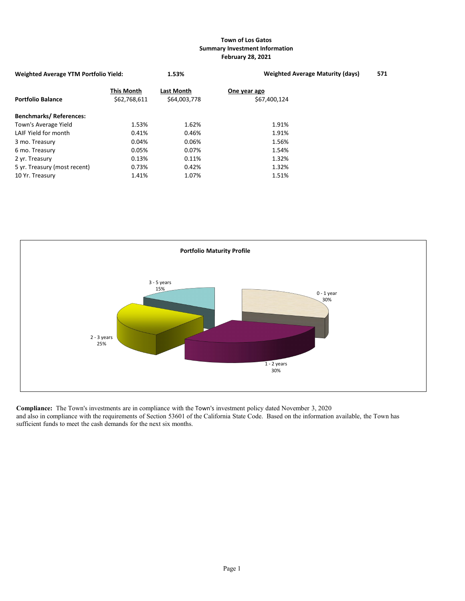## **Town of Los Gatos Summary Investment Information February 28, 2021**

| <b>Weighted Average YTM Portfolio Yield:</b> |                                   | 1.53%                      | <b>Weighted Average Maturity (days)</b> |  |  |  |  |  |
|----------------------------------------------|-----------------------------------|----------------------------|-----------------------------------------|--|--|--|--|--|
| <b>Portfolio Balance</b>                     | <b>This Month</b><br>\$62,768,611 | Last Month<br>\$64,003,778 | One year ago<br>\$67,400,124            |  |  |  |  |  |
| <b>Benchmarks/References:</b>                |                                   |                            |                                         |  |  |  |  |  |
| Town's Average Yield                         | 1.53%                             | 1.62%                      | 1.91%                                   |  |  |  |  |  |
| LAIF Yield for month                         | 0.41%                             | 0.46%                      | 1.91%                                   |  |  |  |  |  |
| 3 mo. Treasury                               | 0.04%                             | 0.06%                      | 1.56%                                   |  |  |  |  |  |
| 6 mo. Treasury                               | 0.05%                             | 0.07%                      | 1.54%                                   |  |  |  |  |  |
| 2 yr. Treasury                               | 0.13%                             | 0.11%                      | 1.32%                                   |  |  |  |  |  |
| 5 yr. Treasury (most recent)                 | 0.73%                             | 0.42%                      | 1.32%                                   |  |  |  |  |  |
| 10 Yr. Treasury                              | 1.41%                             | 1.07%                      | 1.51%                                   |  |  |  |  |  |



**Compliance:** The Town's investments are in compliance with the Town's investment policy dated November 3, 2020 and also in compliance with the requirements of Section 53601 of the California State Code. Based on the information available, the Town has sufficient funds to meet the cash demands for the next six months.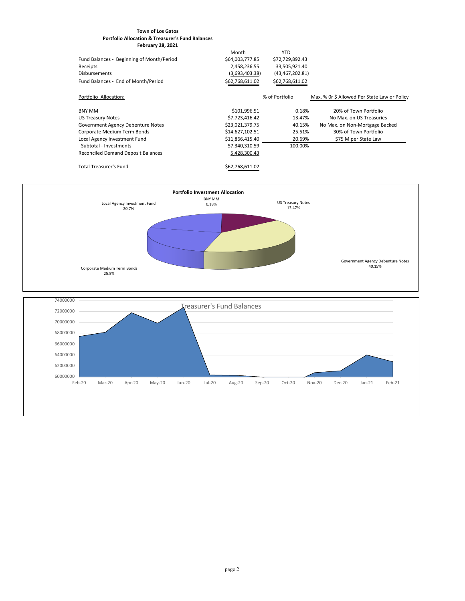## **Town of Los Gatos Portfolio Allocation & Treasurer's Fund Balances February 28, 2021**

|                                           | Month           | YTD             |                                              |
|-------------------------------------------|-----------------|-----------------|----------------------------------------------|
| Fund Balances - Beginning of Month/Period | \$64,003,777.85 | \$72,729,892.43 |                                              |
| Receipts                                  | 2,458,236.55    | 33,505,921.40   |                                              |
| <b>Disbursements</b>                      | (3,693,403.38)  | (43,467,202.81) |                                              |
| Fund Balances - End of Month/Period       | \$62,768,611.02 | \$62,768,611.02 |                                              |
| Portfolio Allocation:                     |                 | % of Portfolio  | Max. % Or \$ Allowed Per State Law or Policy |
| <b>BNY MM</b>                             | \$101,996.51    | 0.18%           | 20% of Town Portfolio                        |
| <b>US Treasury Notes</b>                  | \$7,723,416.42  | 13.47%          | No Max. on US Treasuries                     |
| Government Agency Debenture Notes         | \$23,021,379.75 | 40.15%          | No Max. on Non-Mortgage Backed               |
| Corporate Medium Term Bonds               | \$14,627,102.51 | 25.51%          | 30% of Town Portfolio                        |
| Local Agency Investment Fund              | \$11,866,415.40 | 20.69%          | \$75 M per State Law                         |
| Subtotal - Investments                    | 57,340,310.59   | 100.00%         |                                              |
| Reconciled Demand Deposit Balances        | 5,428,300.43    |                 |                                              |
| <b>Total Treasurer's Fund</b>             | \$62,768,611.02 |                 |                                              |



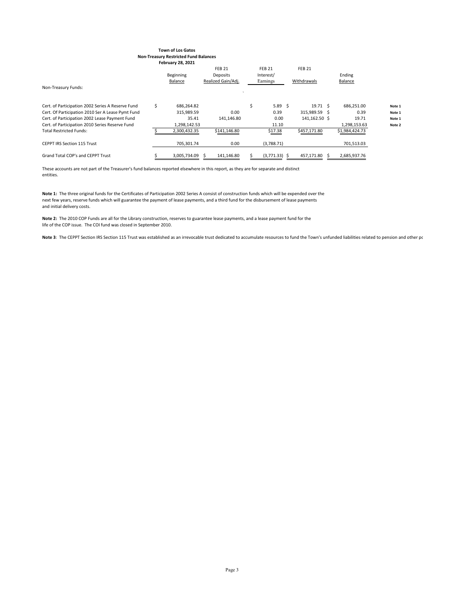#### **Town of Los Gatos Non-Treasury Restricted Fund Balances February 28, 2021**

|                                                   |    |                  | <b>FEB 21</b>      |    | <b>FEB 21</b>   | <b>FEB 21</b>    |                |        |
|---------------------------------------------------|----|------------------|--------------------|----|-----------------|------------------|----------------|--------|
|                                                   |    | <b>Beginning</b> | Deposits           |    | Interest/       |                  | Ending         |        |
|                                                   |    | Balance          | Realized Gain/Adj. |    | Earnings        | Withdrawals      | Balance        |        |
| Non-Treasury Funds:                               |    |                  |                    |    |                 |                  |                |        |
|                                                   |    |                  |                    |    |                 |                  |                |        |
| Cert. of Participation 2002 Series A Reserve Fund | Ś. | 686,264.82       |                    | Ś. | 5.89 \$         | $19.71 \quad$ \$ | 686,251.00     | Note 1 |
| Cert. Of Participation 2010 Ser A Lease Pymt Fund |    | 315,989.59       | 0.00               |    | 0.39            | 315,989.59 \$    | 0.39           | Note 1 |
| Cert. of Participation 2002 Lease Payment Fund    |    | 35.41            | 141,146.80         |    | 0.00            | 141,162.50 \$    | 19.71          | Note 1 |
| Cert. of Participation 2010 Series Reserve Fund   |    | 1,298,142.53     |                    |    | 11.10           |                  | 1,298,153.63   | Note 2 |
| <b>Total Restricted Funds:</b>                    |    | 2,300,432.35     | \$141,146.80       |    | \$17.38         | \$457,171.80     | \$1,984,424.73 |        |
|                                                   |    |                  |                    |    |                 |                  |                |        |
| <b>CEPPT IRS Section 115 Trust</b>                |    | 705,301.74       | 0.00               |    | (3,788.71)      |                  | 701,513.03     |        |
|                                                   |    |                  |                    |    |                 |                  |                |        |
| <b>Grand Total COP's and CEPPT Trust</b>          |    | 3,005,734.09     | 141,146.80         |    | $(3,771.33)$ \$ | 457,171.80       | 2,685,937.76   |        |
|                                                   |    |                  |                    |    |                 |                  |                |        |

These accounts are not part of the Treasurer's fund balances reported elsewhere in this report, as they are for separate and distinct entities.

**Note 1:** The three original funds for the Certificates of Participation 2002 Series A consist of construction funds which will be expended over the next few years, reserve funds which will guarantee the payment of lease payments, and a third fund for the disbursement of lease payments and initial delivery costs.

**Note 2:** The 2010 COP Funds are all for the Library construction, reserves to guarantee lease payments, and a lease payment fund for the life of the COP issue. The COI fund was closed in September 2010.

Note 3: The CEPPT Section IRS Section 115 Trust was established as an irrevocable trust dedicated to accumulate resources to fund the Town's unfunded liabilities related to pension and other pc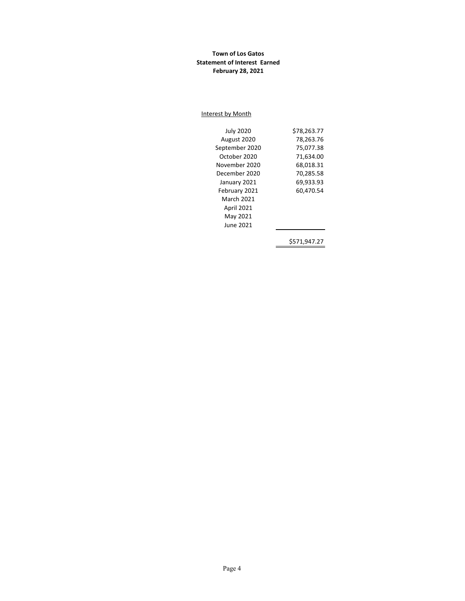## **Town of Los Gatos Statement of Interest Earned February 28, 2021**

#### Interest by Month

| <b>July 2020</b>  | \$78,263.77 |
|-------------------|-------------|
| August 2020       | 78,263.76   |
| September 2020    | 75,077.38   |
| October 2020      | 71,634.00   |
| November 2020     | 68,018.31   |
| December 2020     | 70,285.58   |
| January 2021      | 69,933.93   |
| February 2021     | 60,470.54   |
| March 2021        |             |
| <b>April 2021</b> |             |
| May 2021          |             |
| June 2021         |             |
|                   | S571.947.27 |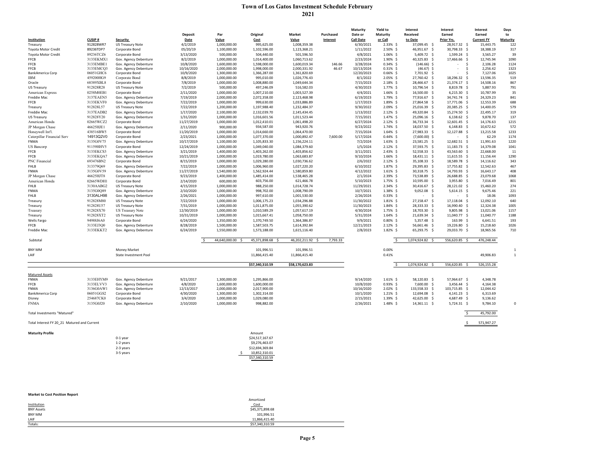# **Town of Los Gatos Investment Schedule February 2021**

|                                             |                        |                                         |                         |                              |                                  |                              |                 | <b>Maturity</b>         | Yield to                   | <b>Interest</b>               | <b>Interest</b>    | <b>Interest</b>      | Days            |
|---------------------------------------------|------------------------|-----------------------------------------|-------------------------|------------------------------|----------------------------------|------------------------------|-----------------|-------------------------|----------------------------|-------------------------------|--------------------|----------------------|-----------------|
|                                             |                        |                                         | <b>Deposit</b>          | Par                          | Original                         | <b>Market</b>                | Purchased       | Date or                 | <b>Maturity</b>            | <b>Received</b>               | Earned             | Earned               | to              |
| Institution                                 | <b>CUSIP#</b>          | <b>Security</b>                         | Date                    | Value                        | <b>Cost</b>                      | Value                        | <b>Interest</b> | <b>Call Date</b>        | or Call                    | to Date                       | Prior Yrs.         | <b>Current FY</b>    | <b>Maturity</b> |
| Treasury                                    | 912828WR7              | <b>US Treasury Note</b>                 | 4/2/2019                | 1,000,000.00                 | 995,625.00                       | 1,008,359.38                 |                 | 6/30/2021               | $2.33\%$ \$                | 37,099.45 \$                  | 28,917.32 \$       | 15,443.75            | 122             |
| Toyota Motor Credit                         | 89236TDP7              | Corporate Bond                          | 05/20/19                | 1,100,000.00                 | 1,102,596.00                     | 1,123,368.21                 |                 | 1/11/2022               | $2.50\%$ \$                | 46,951.67 \$                  | 30,798.33 \$       | 18,388.19            | 317             |
| Toyota Motor Credit                         | 89236TCZ6              | Corporate Bond                          | 3/13/2020               | 500,000.00                   | 504,440.00                       | 501,596.50                   |                 | 4/8/2021                | $1.06\%$ \$                | 5,409.72 \$                   | $1,599.24$ \$      | 3,565.27             | 39              |
| <b>FFCB</b>                                 | 3133EKMX               | Gov. Agency Debenture                   | 8/2/2019                | 1,000,000.00                 | 1,014,400.00                     | 1,060,713.62                 |                 | 2/23/2024               | $1.90\%$ \$                | 40,325.83 \$                  | 17,466.66 \$       | 12,745.94            | 1090            |
| <b>FFCB</b><br><b>FFCB</b>                  | 3133EMBE1<br>3133EMCQ3 | Gov. Agency Debenture                   | 10/8/2020<br>10/16/2020 | 1,600,000.00<br>2,000,000.00 | 1,598,000.00<br>1,998,000.00     | 1,600,019.34<br>2,000,331.92 | 146.66<br>46.67 | 3/28/2024<br>10/13/2024 | $0.34\%$ \$<br>$0.31\%$ \$ | $(146.66)$ \$<br>$(46.67)$ \$ |                    | 2,106.28             | 1124<br>1323    |
| BankAmerica Corp                            | 06051GHC6              | Gov. Agency Debenture<br>Corporate Bond | 10/9/2020               | 1,300,000.00                 | 1,366,287.00                     | 1,361,820.69                 |                 | 12/20/2023              | $0.66\%$ \$                | 7,701.92 \$                   |                    | 2,256.42<br>7,127.06 | 1025            |
| <b>IBM</b>                                  | 459200HG9              | Corporate Bond                          | 8/8/2019                | 1,000,000.00                 | 995,010.00                       | 1,026,776.43                 |                 | 8/1/2022                | $2.05\%$ \$                | 27,760.42 \$                  | 18,296.32 \$       | 13,596.35            | 519             |
| Oracle                                      | 68389XBL8              | Corporate Bond                          | 7/8/2019                | 1,000,000.00                 | 1,008,880.00                     | 1,049,644.34                 |                 | 7/15/2023               | $2.18\%$ \$                | 28,466.67 \$                  | $21,374.17$ \$     | 14,508.16            | 867             |
| <b>US Treasury</b>                          | 912828R28              | <b>US Treasury Note</b>                 | 7/2/2019                | 500,000.00                   | 497,246.09                       | 516,582.03                   |                 | 4/30/2023               | $1.77\%$ \$                | 10,796.54 \$                  | 8,819.78 \$        | 5,887.93             | 791             |
| American Express                            | 0258M0EB1              | Corporate Bond                          | 2/11/2020               | 1,000,000.00                 | 1,007,210.00                     | 1,003,527.39                 |                 | 4/4/2021                | $1.66\%$ \$                | 16,500.00 \$                  | $6,215.30$ \$      | 10,787.99            | 35              |
| Freddie Mac                                 | 3137EAEN5              | Gov. Agency Debenture                   | 7/19/2019               | 2,000,000.00                 | 2,072,358.00                     | 2,123,468.98                 |                 | 6/19/2023               | 1.79%\$                    | 77,916.67 \$                  | 34,741.74 \$       | 24,329.23            | 841             |
| <b>FFCB</b>                                 | 3133EKVF0              | Gov. Agency Debenture                   | 7/22/2019               | 1,000,000.00                 | 999,630.00                       | 1,033,886.89                 |                 | 1/17/2023               | $1.89\%$ \$                | 27,864.58 \$                  | 17,771.06 \$       | 12,553.39            | 688             |
| Treasury                                    | 912828L57              | <b>US Treasury Note</b>                 | 7/22/2019               | 1,200,000.00                 | 1,197,988.40                     | 1,232,484.37                 |                 | 9/30/2022               | 2.09%\$                    | 25,016.39 \$                  | 20,385.25 \$       | 14,400.05            | 579             |
| Freddie Mac                                 | 3137EADB2              | Gov. Agency Debenture                   | 1/17/2020               | 2,100,000.00                 | 2,132,039.70                     | 2,145,434.45                 |                 | 1/13/2022               | $2.12\%$ \$                | 49,320.84 \$                  | 15,274.50 \$       | 22,495.17            | 319             |
| <b>US Treasury</b>                          | 912828Y20              | Gov. Agency Debenture                   | 1/31/2020               | 1,000,000.00                 | 1,016,601.56                     | 1,011,523.44                 |                 | 7/15/2021               | $1.47\%$ \$                | 25,096.16 \$                  | $6,138.62$ \$      | 9,878.70             | 137             |
| American Honda                              | 02665WCZ2              | Corporate Bond                          | 11/27/2019              | 1,000,000.00                 | 1,012,410.01                     | 1,061,498.20                 |                 | 6/27/2024               | $2.12\%$ \$                | 36,733.34 \$                  | $12,601.45$ \$     | 14,176.63            | 1215            |
| JP Morgan Chase                             | 46625HJE1              | Gov. Agency Debenture                   | 2/11/2020               | 900,000.00                   | 934,587.00                       | 943,920.76                   |                 | 9/23/2022               | $1.74\%$ \$                | 18,037.50 \$                  | $6,148.83$ \$      | 10,672.62            | 572             |
| Honeywell Int'l.                            | 438516BW5              | Corporate Bond                          | 11/20/2019              | 1,000,000.00                 | 1,014,660.00                     | 1,064,470.00                 |                 | 7/15/2024               | $1.64\%$ \$                | 27,983.33 \$                  | 12,127.88 \$       | 13,215.58            | 1233            |
| Caterpillar Financial Serv                  | 14913Q2V0              | Corporate Bond                          | 2/23/2021               | 1,000,000.00                 | 1,077,370.00                     | 1,000,892.47                 | 7,600.00        | 5/17/2024               | $0.44\%$ \$                | $(7,600.00)$ \$               |                    | 62.29                | 1174            |
| <b>FNMA</b>                                 | 3135G0V75              | Gov. Agency Debenture                   | 10/17/2019              | 1,100,000.00                 | 1,105,833.30                     | 1,156,224.11                 |                 | 7/2/2024                | $1.63\%$ \$                | 23,581.25 \$                  | 12,682.51 \$       | 11,991.63            | 1220            |
| <b>US</b> Bancorp                           | 91159HHV5              | Corporate Bond                          | 12/24/2019              | 1,000,000.00                 | 1,049,040.00                     | 1,084,379.60                 |                 | 1/5/2024                | $2.12\%$ \$                | 37,593.75 \$                  | $11,183.73$ \$     | 14,379.08            | 1041            |
| <b>FFCB</b>                                 | 3133EKCS3              | Gov. Agency Debenture                   | 3/21/2019               | 1,400,000.00                 | 1,403,262.00                     | 1,403,856.62                 |                 | 3/11/2021               | $2.43\%$ \$                | $52,558.33$ \$                | 43,563.60 \$       | 22,668.00            | 11              |
| <b>FFCB</b>                                 | 3133EKQA7              | Gov. Agency Debenture                   | 10/21/2019              | 1,000,000.00                 | 1,019,780.00                     | 1,063,683.87                 |                 | 9/10/2024               | $1.66\%$ \$                | 18,431.11 \$                  | $11,615.55$ \$     | 11,156.44            | 1290            |
| PNC Financial                               | 693476BN2              | Corporate Bond                          | 8/15/2019               | 1,000,000.00                 | 1,029,280.00                     | 1,030,736.62                 |                 | 2/6/2022                | $2.12\%$ \$                | $35,108.33$ \$                | 18,589.78 \$       | 14,116.62            | 343             |
| <b>FHLB</b>                                 | 313379Q69              | Gov. Agency Debenture                   | 7/22/2019               | 1,000,000.00                 | 1,006,960.00                     | 1,027,220.20                 |                 | 6/10/2022               | $1.87\%$ \$                | 29,395.83 \$                  | 17,755.82 \$       | 12,542.63            | 467             |
| <b>FNMA</b>                                 | 3135G0V59              | Gov. Agency Debenture                   | 11/27/2019              | 1,540,000.00                 | 1,562,924.44                     | 1,580,859.80                 |                 | 4/12/2022               | $1.61\%$ \$                | 30,318.75 \$                  | 14,793.93 \$       | 16,643.17            | 408             |
| JP Morgan Chase                             | 46625HJT8              | Corporate Bond                          | 9/23/2019               | 1,400,000.00                 | 1,485,414.00                     | 1,538,465.28                 |                 | 2/1/2024                | $2.39\%$ \$                | 73,538.89 \$                  | 26,688.85 \$       | 23,079.68            | 1068            |
| American Honda                              | 02665WDH1              | Corporate Bond                          | 2/14/2020               | 600,000.00                   | 603,756.00                       | 621,466.78                   |                 | 5/10/2023               | $1.75\%$ \$                | 10,595.00 \$                  | $3,955.80$ \$      | 7,016.49             | 801             |
| <b>FHLB</b>                                 | 3130AABG2              | <b>US Treasury Note</b>                 | 4/15/2019               | 1,000,000.00                 | 988,250.00                       | 1,014,728.74                 |                 | 11/29/2021              | $2.34\%$ \$                | 30,416.67 \$                  | 28,121.02 \$       | 15,460.20            | 274             |
| <b>FNMA</b>                                 | 3135G0Q89              | Gov. Agency Debenture                   | 2/10/2020               | 1,000,000.00                 | 998,702.00                       | 1,008,790.09                 |                 | 10/7/2021               | $1.38\%$ \$                | 9,052.08                      | $5,614.15$ \$      | 9,675.46             | 221             |
| <b>FHLB</b>                                 | 3130ALH98              | Gov. Agency Debenture                   | 2/26/2021               | 1,000,000.00                 | 997,610.00                       | 1,001,530.00                 |                 | 2/26/2024               | $0.33\%$ \$                | $\sim$                        | $\blacksquare$     | 18.06                | 1093            |
| Treasury                                    | 912828M80              | <b>US Treasury Note</b>                 | 7/22/2019               | 1,000,000.00                 | 1,006,175.23                     | 1,034,296.88                 |                 | 11/30/2022              | $1.81\%$ \$                | 27,158.47 \$                  | $17,118.04$ \$     | 12,092.10            | 640             |
| Treasury                                    | 912828U57              | <b>US Treasury Note</b>                 | 7/31/2019               | 1,000,000.00                 | 1,011,875.00                     | 1,055,390.62                 |                 | 11/30/2023              | $1.84\%$ \$                | 28,333.33 \$                  | 16,990.40 \$       | 12,324.38            | 1005            |
| Treasury                                    | 912828X70              | <b>US Treasury Note</b>                 | 12/30/2019              | 1,000,000.00                 | 1,010,589.29                     | 1,057,617.19                 |                 | 4/30/2024               | $1.75\%$ \$                | 18,703.30 \$                  | $9,805.98$ \$      | 13,021.06            | 1157            |
| Treasury                                    | 912828XT2              | <b>US Treasury Note</b>                 | 10/31/2019              | 1,000,000.00                 | 1,015,667.41                     | 1,058,750.00                 |                 | 5/31/2024               | $1.64\%$ \$                | 21,639.34 \$                  | 11,040.77 \$       | 11,040.77            | 1188            |
| <b>Wells Fargo</b>                          | 94988J6A0              | Corporate Bond                          | 6/24/2020               | 1,350,000.00                 | 1,370,749.50                     | 1,364,386.87                 |                 | 9/9/2021                | $0.80\%$ \$                | $5,357.48$ \$                 | 163.99 \$          | 6,641.51             | 193             |
| <b>FFCB</b>                                 | 3133EJ3Q0              | Gov. Agency Debenture                   | 8/28/2019               | 1,500,000.00                 | 1,587,503.75                     | 1,614,392.84                 |                 | 12/21/2023              | $2.12\%$ \$                | 56,661.46 \$                  | 19,226.80 \$       | 15,218.60            | 1026            |
| Freddie Mac                                 | 3133EKKT2              | Gov. Agency Debenture                   | 6/24/2019               | 1,550,000.00                 | 1,573,188.00                     | 1,615,116.40                 |                 | 2/8/2023                | $1.82\%$ \$                | 65,293.75 \$                  | 29,033.70 \$       | 18,965.56            | 710             |
|                                             |                        |                                         |                         |                              |                                  |                              |                 |                         |                            |                               |                    |                      |                 |
| Subtotal                                    |                        |                                         |                         | 44,640,000.00 \$             | 45,371,898.68 \$                 | 46,202,211.92 \$             | 7,793.33        |                         |                            | 1,074,924.82 \$               | 556,620.85 \$      | 476,248.44           |                 |
| BNY MM                                      |                        | <b>Money Market</b>                     |                         |                              | 101,996.51                       | 101,996.51                   |                 |                         | $0.00\%$                   |                               |                    |                      |                 |
| LAIF                                        |                        | State Investment Pool                   |                         |                              | 11,866,415.40                    | 11,866,415.40                |                 |                         | 0.41%                      |                               |                    | 49,906.83            |                 |
|                                             |                        |                                         |                         |                              |                                  |                              |                 |                         |                            |                               |                    |                      |                 |
|                                             |                        |                                         |                         |                              | \$57,340,310.59                  | \$58,170,623.83              |                 |                         |                            | 1,074,924.82 \$               | 556,620.85 \$      | 526,155.28           |                 |
| <b>Matured Assets</b>                       |                        |                                         |                         |                              |                                  |                              |                 |                         |                            |                               |                    |                      |                 |
| <b>FNMA</b>                                 | 3133EHYM9              | Gov. Agency Debenture                   | 9/21/2017               | 1,300,000.00                 | 1,295,866.00                     |                              |                 | 9/14/2020               | $1.61\%$ \$                | 58,120.83 \$                  | 57,964.67 \$       | 4,348.78             |                 |
| <b>FFCB</b>                                 | 3133ELVV3              | Gov. Agency Debenture                   | 4/8/2020                | 1,600,000.00                 | 1,600,000.00                     |                              |                 | 10/8/2020               | $0.93\%$ \$                | 7,600.00 \$                   | $3,456.44$ \$      | 4,164.38             |                 |
| <b>FNMA</b>                                 | 3136G0AW1              | Gov. Agency Debenture                   | 12/13/2017              | 2,000,000.00                 | 2,017,900.00                     |                              |                 | 10/16/2020              | $2.02\%$ \$                | 133,558.33 \$                 | 103,715.85 \$      | 12,044.42            |                 |
| BankAmerica Corp                            | 06051GGS2              | Corporate Bond                          | 4/30/2020               | 1,300,000.00                 | 1,302,314.00                     |                              |                 | 10/1/2020               | $1.21\%$ \$                | 12,694.08 \$                  | $4,141.23$ \$      | 6,313.69             |                 |
| Disney                                      | 254687CK0              | Corporate Bond                          | 3/4/2020                | 1,000,000.00                 | 1,029,080.00                     |                              |                 | 2/15/2021               | $1.39\%$ \$                | 42,625.00 \$                  | 4,687.49 \$        | 9,136.62             |                 |
| <b>FNMA</b>                                 | 3135G0J20              | Gov. Agency Debenture                   | 2/10/2020               | 1,000,000.00                 | 998,882.00                       |                              |                 | 2/26/2021               | $1.48\%$ \$                | $14,361.11 \quad$ \$          | $5,724.31 \quad $$ | 9,784.10             | 0               |
| <b>Total Investments "Matured"</b>          |                        |                                         |                         |                              |                                  |                              |                 |                         |                            |                               |                    | 45,792.00            |                 |
| Total Interest FY 20 21 Matured and Current |                        |                                         |                         |                              |                                  |                              |                 |                         |                            |                               |                    | 571,947.27           |                 |
|                                             |                        |                                         |                         |                              |                                  |                              |                 |                         |                            |                               |                    |                      |                 |
| <b>Maturity Profile</b>                     |                        |                                         |                         |                              | Amount                           |                              |                 |                         |                            |                               |                    |                      |                 |
|                                             |                        | 0-1 year                                |                         |                              | \$24,517,167.67                  |                              |                 |                         |                            |                               |                    |                      |                 |
|                                             |                        | 1-2 years                               |                         |                              | \$9,276,463.07                   |                              |                 |                         |                            |                               |                    |                      |                 |
|                                             |                        | 2-3 years                               |                         |                              | \$12,694,369.84<br>10,852,310.01 |                              |                 |                         |                            |                               |                    |                      |                 |
|                                             |                        | 3-5 years                               |                         |                              | \$57,340,310.59                  |                              |                 |                         |                            |                               |                    |                      |                 |
|                                             |                        |                                         |                         |                              |                                  |                              |                 |                         |                            |                               |                    |                      |                 |
|                                             |                        |                                         |                         |                              |                                  |                              |                 |                         |                            |                               |                    |                      |                 |
|                                             |                        |                                         |                         |                              |                                  |                              |                 |                         |                            |                               |                    |                      |                 |
|                                             |                        |                                         |                         |                              |                                  |                              |                 |                         |                            |                               |                    |                      |                 |
|                                             |                        |                                         |                         |                              |                                  |                              |                 |                         |                            |                               |                    |                      |                 |

| <b>Market to Cost Position Report</b> |                 |
|---------------------------------------|-----------------|
|                                       | Amortized       |
| Institution                           | Cost            |
| <b>BNY Assets</b>                     | \$45,371,898.68 |
| BNY MM                                | 101,996.51      |
| LAIF                                  | 11,866,415.40   |
| Totals:                               | \$57,340,310.59 |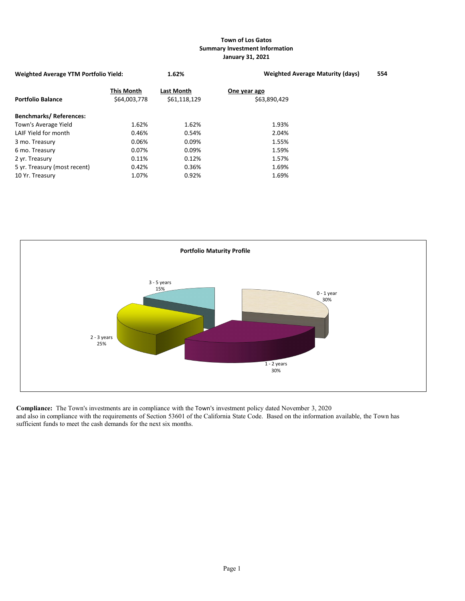## **Town of Los Gatos Summary Investment Information January 31, 2021**

| <b>Weighted Average YTM Portfolio Yield:</b> | 1.62%                             | <b>Weighted Average Maturity (days)</b> | 554 |
|----------------------------------------------|-----------------------------------|-----------------------------------------|-----|
| <b>This Month</b><br>\$64,003,778            | <b>Last Month</b><br>\$61,118,129 | One year ago<br>\$63,890,429            |     |
|                                              |                                   |                                         |     |
| 1.62%                                        | 1.62%                             | 1.93%                                   |     |
| 0.46%                                        | 0.54%                             | 2.04%                                   |     |
| 0.06%                                        | 0.09%                             | 1.55%                                   |     |
| 0.07%                                        | 0.09%                             | 1.59%                                   |     |
| 0.11%                                        | 0.12%                             | 1.57%                                   |     |
| 0.42%                                        | 0.36%                             | 1.69%                                   |     |
| 1.07%                                        | 0.92%                             | 1.69%                                   |     |
|                                              |                                   |                                         |     |



**Compliance:** The Town's investments are in compliance with the Town's investment policy dated November 3, 2020 and also in compliance with the requirements of Section 53601 of the California State Code. Based on the information available, the Town has sufficient funds to meet the cash demands for the next six months.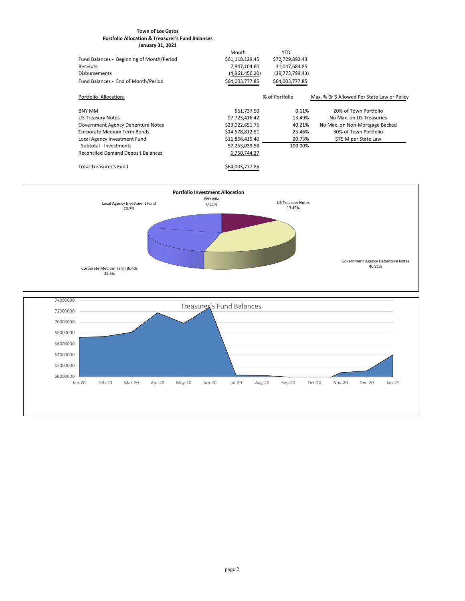## **Town of Los Gatos Portfolio Allocation & Treasurer's Fund Balances January 31, 2021**

|                                           | Month           | YTD               |                                              |
|-------------------------------------------|-----------------|-------------------|----------------------------------------------|
| Fund Balances - Beginning of Month/Period | \$61,118,129.45 | \$72,729,892.43   |                                              |
| Receipts                                  | 7,847,104.60    | 31,047,684.85     |                                              |
| <b>Disbursements</b>                      | (4,961,456.20)  | (39, 773, 799.43) |                                              |
| Fund Balances - End of Month/Period       | \$64,003,777.85 | \$64,003,777.85   |                                              |
| Portfolio Allocation:                     |                 | % of Portfolio    | Max. % Or \$ Allowed Per State Law or Policy |
| <b>BNY MM</b>                             | \$61,737.50     | 0.11%             | 20% of Town Portfolio                        |
| <b>US Treasury Notes</b>                  | \$7,723,416.42  | 13.49%            | No Max, on US Treasuries                     |
| Government Agency Debenture Notes         | \$23,022,651.75 | 40.21%            | No Max. on Non-Mortgage Backed               |
| Corporate Medium Term Bonds               | \$14,578,812.51 | 25.46%            | 30% of Town Portfolio                        |
| Local Agency Investment Fund              | \$11,866,415.40 | 20.73%            | \$75 M per State Law                         |
| Subtotal - Investments                    | 57,253,033.58   | 100.00%           |                                              |
| <b>Reconciled Demand Deposit Balances</b> | 6,750,744.27    |                   |                                              |
| <b>Total Treasurer's Fund</b>             | \$64,003,777.85 |                   |                                              |



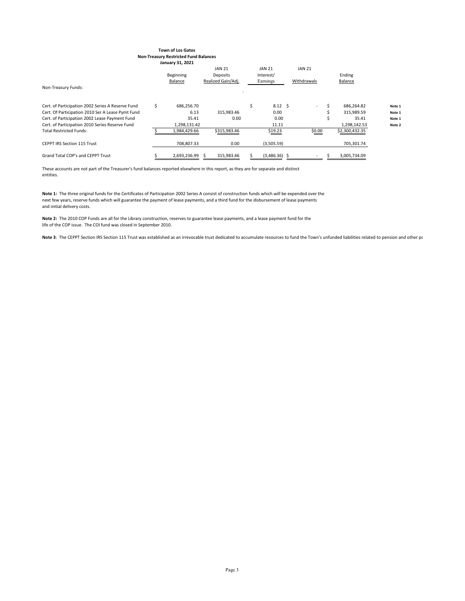#### **Town of Los Gatos Non-Treasury Restricted Fund Balances January 31, 2021**

|                                                   |    |                  | <b>JAN 21</b>      | <b>JAN 21</b>         | <b>JAN 21</b>            |                |        |
|---------------------------------------------------|----|------------------|--------------------|-----------------------|--------------------------|----------------|--------|
|                                                   |    | <b>Beginning</b> | Deposits           | Interest/             |                          | Ending         |        |
|                                                   |    | <b>Balance</b>   | Realized Gain/Adj. | Earnings              | Withdrawals              | Balance        |        |
| Non-Treasury Funds:                               |    |                  |                    |                       |                          |                |        |
|                                                   |    |                  |                    |                       |                          |                |        |
| Cert. of Participation 2002 Series A Reserve Fund | Ś. | 686,256.70       |                    | \$<br>$8.12 \quad$ \$ | $\overline{\phantom{0}}$ | 686,264.82     | Note 1 |
| Cert. Of Participation 2010 Ser A Lease Pymt Fund |    | 6.13             | 315,983.46         | 0.00                  |                          | 315,989.59     | Note 1 |
| Cert. of Participation 2002 Lease Payment Fund    |    | 35.41            | 0.00               | 0.00                  |                          | 35.41          | Note 1 |
| Cert. of Participation 2010 Series Reserve Fund   |    | 1,298,131.42     |                    | 11.11                 |                          | 1,298,142.53   | Note 2 |
| <b>Total Restricted Funds:</b>                    |    | 1,984,429.66     | \$315,983.46       | \$19.23               | \$0.00                   | \$2,300,432.35 |        |
|                                                   |    |                  |                    |                       |                          |                |        |
| <b>CEPPT IRS Section 115 Trust</b>                |    | 708,807.33       | 0.00               | (3,505.59)            |                          | 705,301.74     |        |
|                                                   |    |                  |                    |                       |                          |                |        |
| <b>Grand Total COP's and CEPPT Trust</b>          |    | 2,693,236.99     | 315,983.46         | $(3,486.36)$ \$       |                          | 3,005,734.09   |        |

These accounts are not part of the Treasurer's fund balances reported elsewhere in this report, as they are for separate and distinct entities.

**Note 1:** The three original funds for the Certificates of Participation 2002 Series A consist of construction funds which will be expended over the next few years, reserve funds which will guarantee the payment of lease payments, and a third fund for the disbursement of lease payments and initial delivery costs.

**Note 2:** The 2010 COP Funds are all for the Library construction, reserves to guarantee lease payments, and a lease payment fund for the life of the COP issue. The COI fund was closed in September 2010.

Note 3: The CEPPT Section IRS Section 115 Trust was established as an irrevocable trust dedicated to accumulate resources to fund the Town's unfunded liabilities related to pension and other pc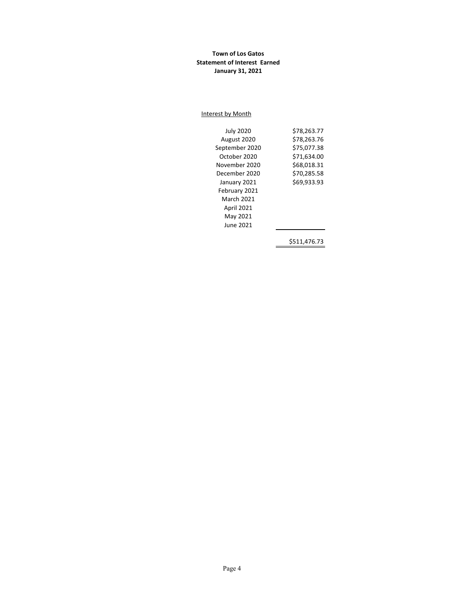## **Town of Los Gatos Statement of Interest Earned January 31, 2021**

#### Interest by Month

| <b>July 2020</b>  | \$78,263.77 |
|-------------------|-------------|
| August 2020       | \$78,263.76 |
| September 2020    | \$75,077.38 |
| October 2020      | \$71,634.00 |
| November 2020     | \$68,018.31 |
| December 2020     | \$70,285.58 |
| January 2021      | \$69.933.93 |
| February 2021     |             |
| <b>March 2021</b> |             |
| <b>April 2021</b> |             |
| May 2021          |             |
| June 2021         |             |
|                   |             |

\$511,476.73